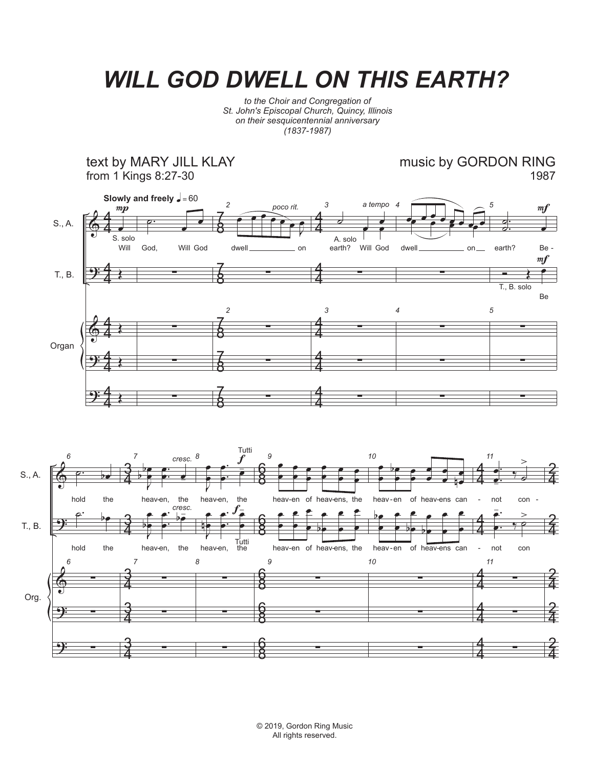## *WILL GOD DWELL ON THIS EARTH?*

*to the Choir and Congregation of St. John's Episcopal Church, Quincy, Illinois on their sesquicentennial anniversary (1837-1987)*

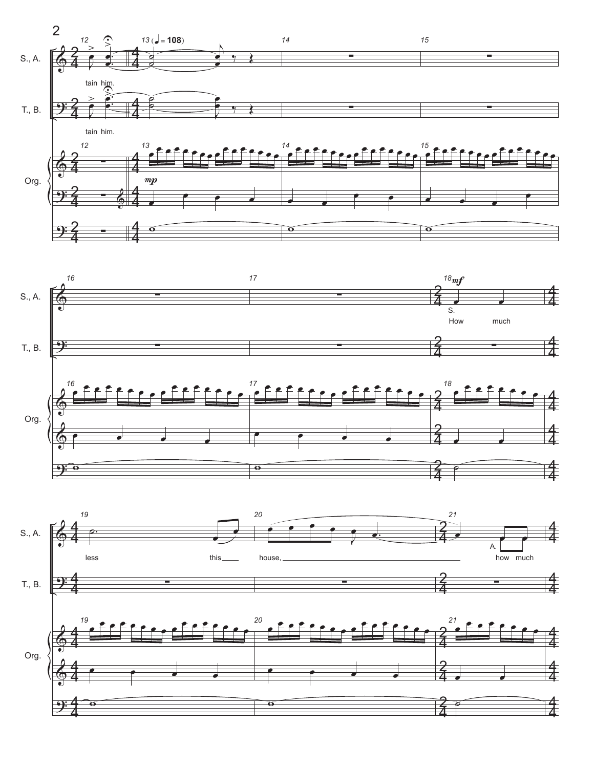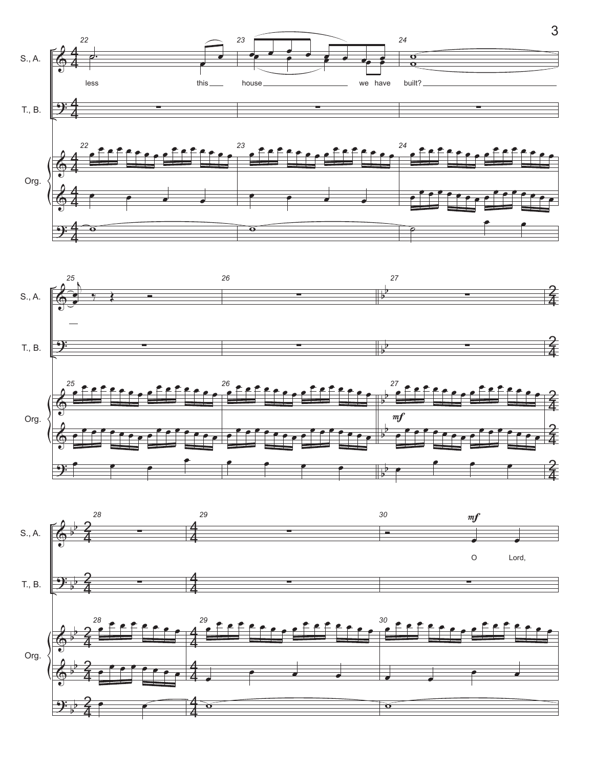

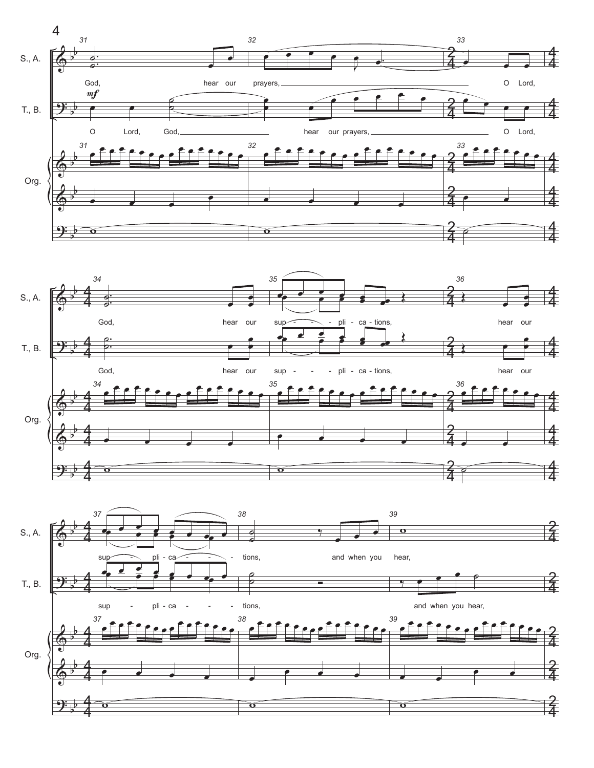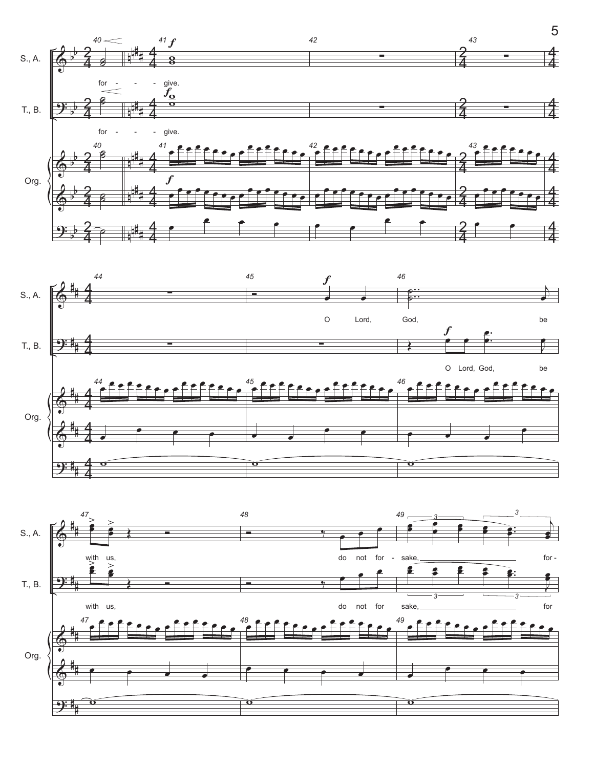

 $\Theta$ : # # w  $\ddot{\mathbf{o}}$  $\ddot{\mathbf{o}}$  5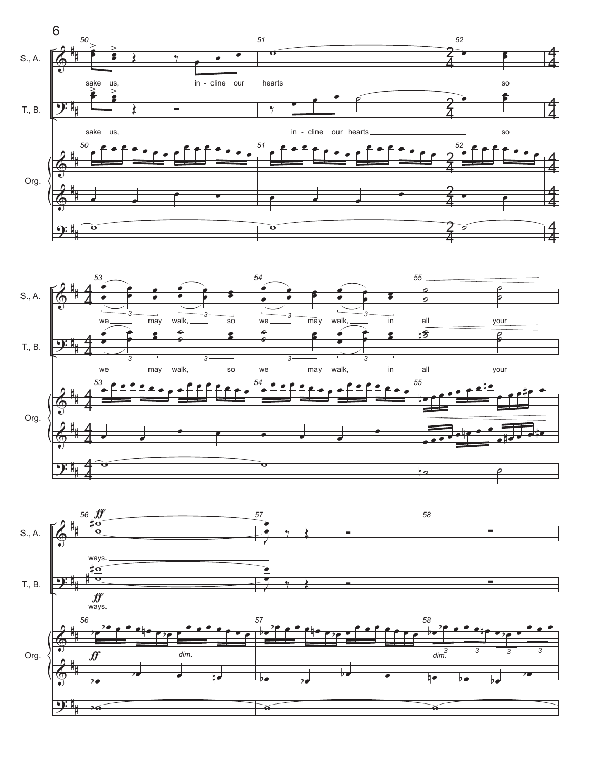



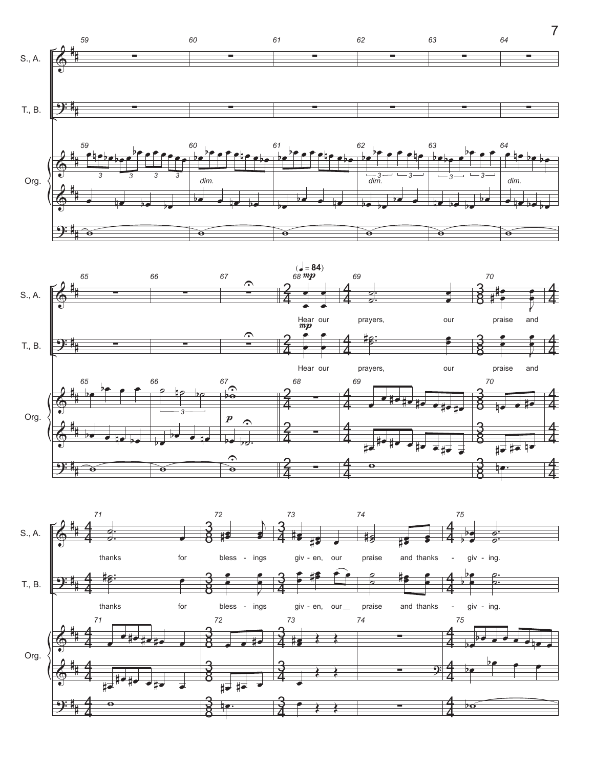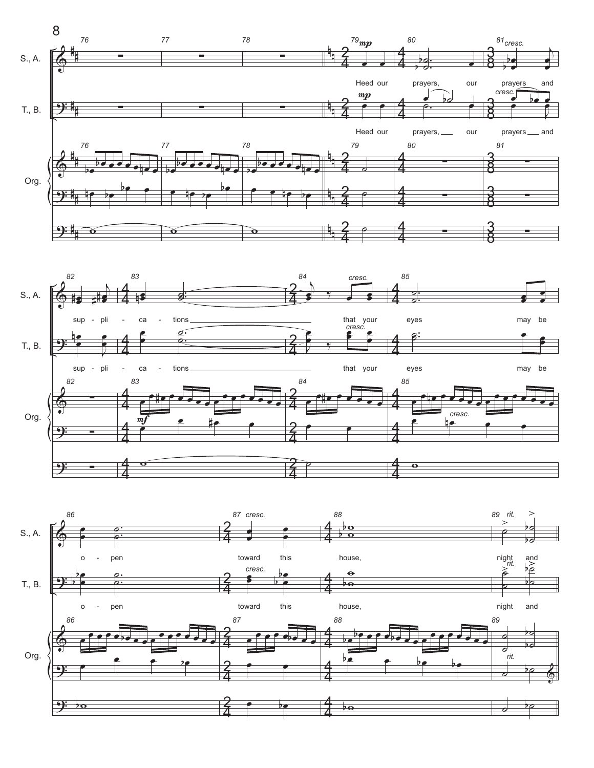



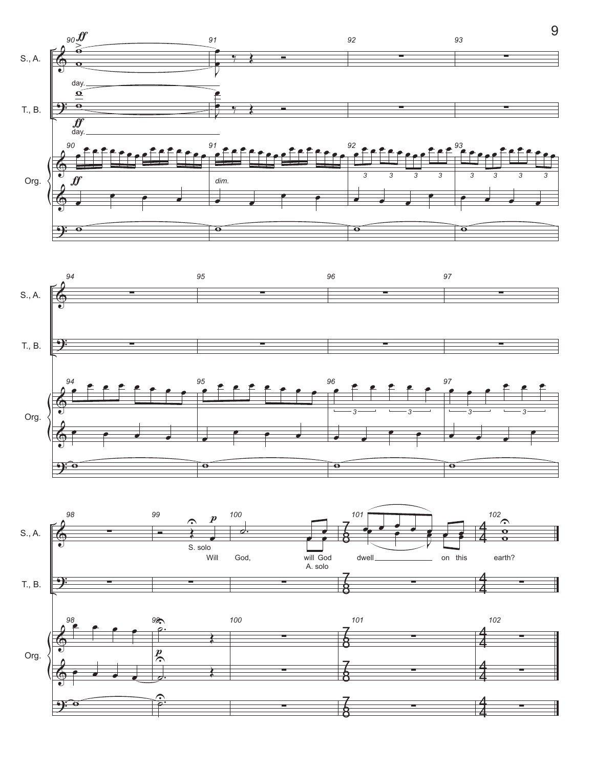